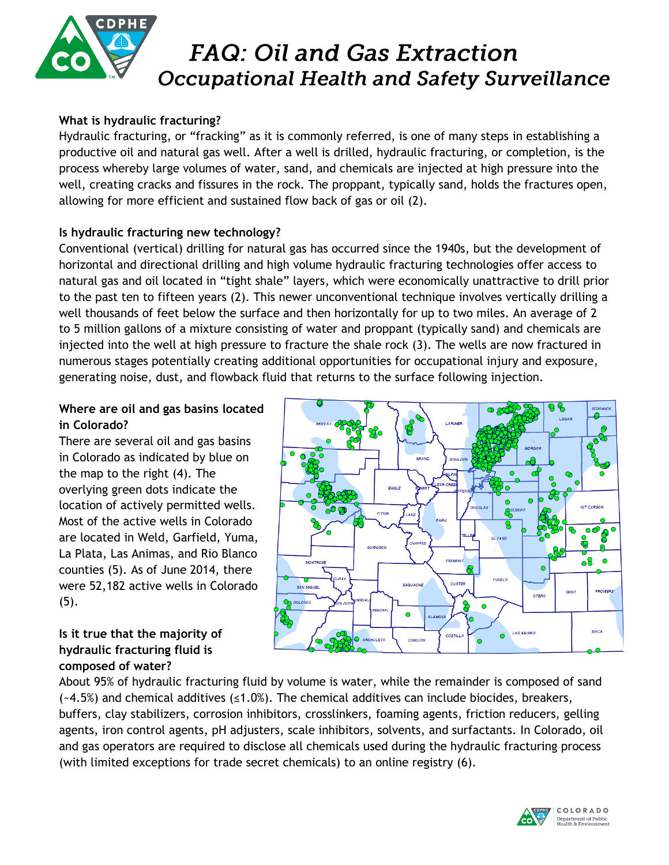

### **What is hydraulic fracturing?**

Hydraulic fracturing, or "fracking" as it is commonly referred, is one of many steps in establishing a productive oil and natural gas well. After a well is drilled, hydraulic fracturing, or completion, is the process whereby large volumes of water, sand, and chemicals are injected at high pressure into the well, creating cracks and fissures in the rock. The proppant, typically sand, holds the fractures open, allowing for more efficient and sustained flow back of gas or oil (2).

### **Is hydraulic fracturing new technology?**

Conventional (vertical) drilling for natural gas has occurred since the 1940s, but the development of horizontal and directional drilling and high volume hydraulic fracturing technologies offer access to natural gas and oil located in "tight shale" layers, which were economically unattractive to drill prior to the past ten to fifteen years (2). This newer unconventional technique involves vertically drilling a well thousands of feet below the surface and then horizontally for up to two miles. An average of 2 to 5 million gallons of a mixture consisting of water and proppant (typically sand) and chemicals are injected into the well at high pressure to fracture the shale rock (3). The wells are now fractured in numerous stages potentially creating additional opportunities for occupational injury and exposure, generating noise, dust, and flowback fluid that returns to the surface following injection.

### **Where are oil and gas basins located in Colorado?**

There are several oil and gas basins in Colorado as indicated by blue on the map to the right (4). The overlying green dots indicate the location of actively permitted wells. Most of the active wells in Colorado are located in Weld, Garfield, Yuma, La Plata, Las Animas, and Rio Blanco counties (5). As of June 2014, there were 52,182 active wells in Colorado  $(5).$ 

## ARIMER GRAND EAGLE **FREMONT** PUEBLO SAGUACHE **CUSTER** PROWERS BENT OTERO ai an BACA **LAS ANIMAS COSTILLA**

#### **Is it true that the majority of hydraulic fracturing fluid is composed of water?**

About 95% of hydraulic fracturing fluid by volume is water, while the remainder is composed of sand  $(-4.5%)$  and chemical additives ( $\leq 1.0%$ ). The chemical additives can include biocides, breakers, buffers, clay stabilizers, corrosion inhibitors, crosslinkers, foaming agents, friction reducers, gelling agents, iron control agents, pH adjusters, scale inhibitors, solvents, and surfactants. In Colorado, oil and gas operators are required to disclose all chemicals used during the hydraulic fracturing process (with limited exceptions for trade secret chemicals) to an online registry (6).

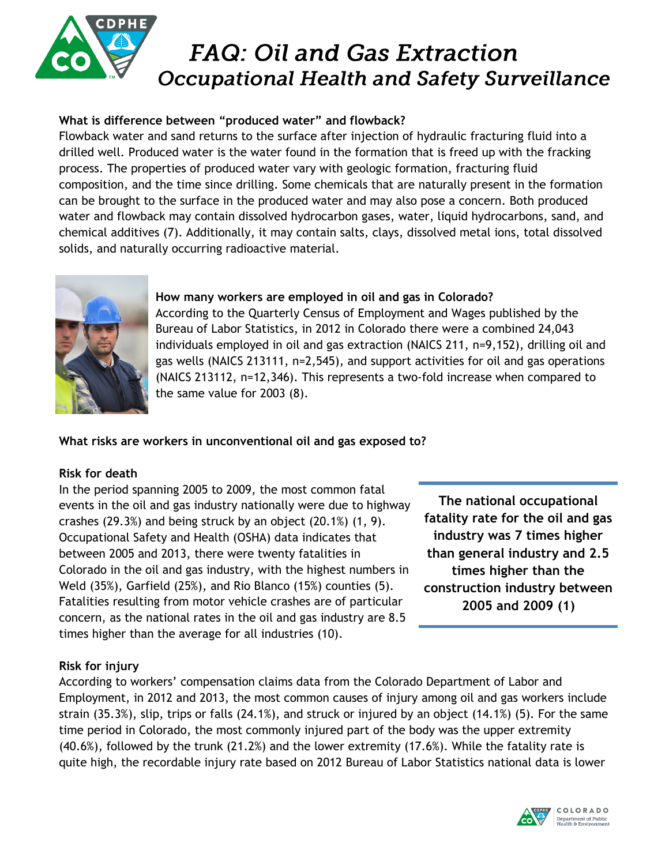

## **What is difference between "produced water" and flowback?**

Flowback water and sand returns to the surface after injection of hydraulic fracturing fluid into a drilled well. Produced water is the water found in the formation that is freed up with the fracking process. The properties of produced water vary with geologic formation, fracturing fluid composition, and the time since drilling. Some chemicals that are naturally present in the formation can be brought to the surface in the produced water and may also pose a concern. Both produced water and flowback may contain dissolved hydrocarbon gases, water, liquid hydrocarbons, sand, and chemical additives (7). Additionally, it may contain salts, clays, dissolved metal ions, total dissolved solids, and naturally occurring radioactive material.



## **How many workers are employed in oil and gas in Colorado?**

According to the Quarterly Census of Employment and Wages published by the Bureau of Labor Statistics, in 2012 in Colorado there were a combined 24,043 individuals employed in oil and gas extraction (NAICS 211, n=9,152), drilling oil and gas wells (NAICS 213111, n=2,545), and support activities for oil and gas operations (NAICS 213112, n=12,346). This represents a two-fold increase when compared to the same value for 2003 (8).

## **What risks are workers in unconventional oil and gas exposed to?**

### **Risk for death**

In the period spanning 2005 to 2009, the most common fatal events in the oil and gas industry nationally were due to highway crashes (29.3%) and being struck by an object (20.1%) (1, 9). Occupational Safety and Health (OSHA) data indicates that between 2005 and 2013, there were twenty fatalities in Colorado in the oil and gas industry, with the highest numbers in Weld (35%), Garfield (25%), and Rio Blanco (15%) counties (5). Fatalities resulting from motor vehicle crashes are of particular concern, as the national rates in the oil and gas industry are 8.5 times higher than the average for all industries (10).

**The national occupational fatality rate for the oil and gas industry was 7 times higher than general industry and 2.5 times higher than the construction industry between 2005 and 2009 (1)**

### **Risk for injury**

According to workers' compensation claims data from the Colorado Department of Labor and Employment, in 2012 and 2013, the most common causes of injury among oil and gas workers include strain (35.3%), slip, trips or falls (24.1%), and struck or injured by an object (14.1%) (5). For the same time period in Colorado, the most commonly injured part of the body was the upper extremity (40.6%), followed by the trunk (21.2%) and the lower extremity (17.6%). While the fatality rate is quite high, the recordable injury rate based on 2012 Bureau of Labor Statistics national data is lower

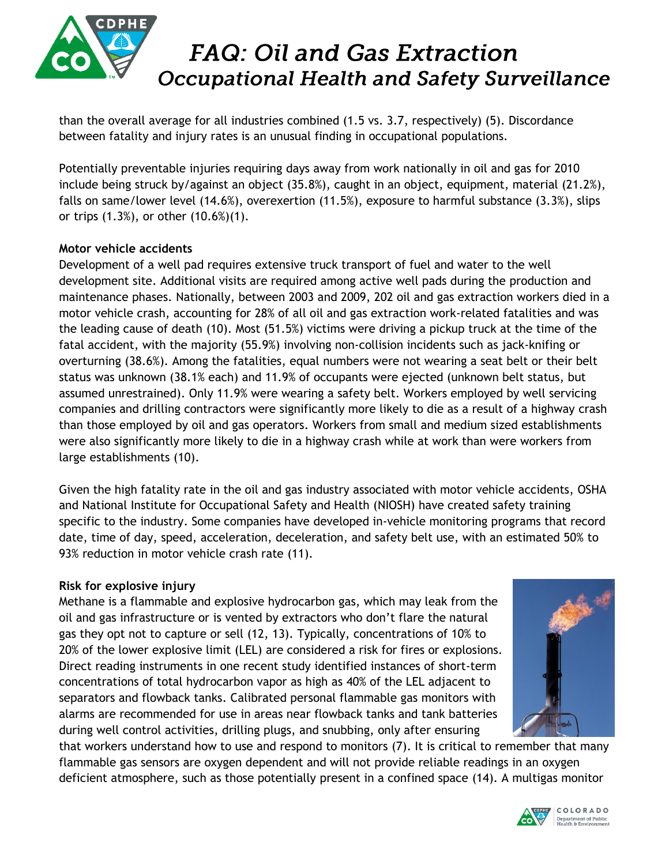

than the overall average for all industries combined (1.5 vs. 3.7, respectively) (5). Discordance between fatality and injury rates is an unusual finding in occupational populations.

Potentially preventable injuries requiring days away from work nationally in oil and gas for 2010 include being struck by/against an object (35.8%), caught in an object, equipment, material (21.2%), falls on same/lower level (14.6%), overexertion (11.5%), exposure to harmful substance (3.3%), slips or trips (1.3%), or other (10.6%)(1).

### **Motor vehicle accidents**

Development of a well pad requires extensive truck transport of fuel and water to the well development site. Additional visits are required among active well pads during the production and maintenance phases. Nationally, between 2003 and 2009, 202 oil and gas extraction workers died in a motor vehicle crash, accounting for 28% of all oil and gas extraction work-related fatalities and was the leading cause of death (10). Most (51.5%) victims were driving a pickup truck at the time of the fatal accident, with the majority (55.9%) involving non-collision incidents such as jack-knifing or overturning (38.6%). Among the fatalities, equal numbers were not wearing a seat belt or their belt status was unknown (38.1% each) and 11.9% of occupants were ejected (unknown belt status, but assumed unrestrained). Only 11.9% were wearing a safety belt. Workers employed by well servicing companies and drilling contractors were significantly more likely to die as a result of a highway crash than those employed by oil and gas operators. Workers from small and medium sized establishments were also significantly more likely to die in a highway crash while at work than were workers from large establishments (10).

Given the high fatality rate in the oil and gas industry associated with motor vehicle accidents, OSHA and National Institute for Occupational Safety and Health (NIOSH) have created safety training specific to the industry. Some companies have developed in-vehicle monitoring programs that record date, time of day, speed, acceleration, deceleration, and safety belt use, with an estimated 50% to 93% reduction in motor vehicle crash rate (11).

### **Risk for explosive injury**

Methane is a flammable and explosive hydrocarbon gas, which may leak from the oil and gas infrastructure or is vented by extractors who don't flare the natural gas they opt not to capture or sell (12, 13). Typically, concentrations of 10% to 20% of the lower explosive limit (LEL) are considered a risk for fires or explosions. Direct reading instruments in one recent study identified instances of short-term concentrations of total hydrocarbon vapor as high as 40% of the LEL adjacent to separators and flowback tanks. Calibrated personal flammable gas monitors with alarms are recommended for use in areas near flowback tanks and tank batteries during well control activities, drilling plugs, and snubbing, only after ensuring



that workers understand how to use and respond to monitors (7). It is critical to remember that many flammable gas sensors are oxygen dependent and will not provide reliable readings in an oxygen deficient atmosphere, such as those potentially present in a confined space (14). A multigas monitor

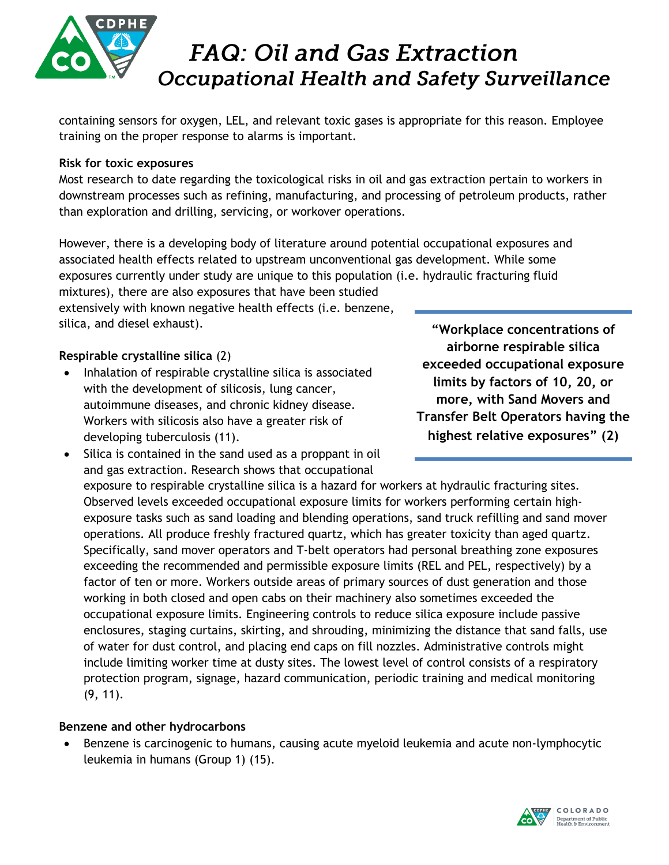

containing sensors for oxygen, LEL, and relevant toxic gases is appropriate for this reason. Employee training on the proper response to alarms is important.

#### **Risk for toxic exposures**

Most research to date regarding the toxicological risks in oil and gas extraction pertain to workers in downstream processes such as refining, manufacturing, and processing of petroleum products, rather than exploration and drilling, servicing, or workover operations.

However, there is a developing body of literature around potential occupational exposures and associated health effects related to upstream unconventional gas development. While some exposures currently under study are unique to this population (i.e. hydraulic fracturing fluid mixtures), there are also exposures that have been studied

extensively with known negative health effects (i.e. benzene, silica, and diesel exhaust).

### **Respirable crystalline silica** (2)

• Inhalation of respirable crystalline silica is associated with the development of silicosis, lung cancer, autoimmune diseases, and chronic kidney disease. Workers with silicosis also have a greater risk of developing tuberculosis (11).

**"Workplace concentrations of airborne respirable silica exceeded occupational exposure limits by factors of 10, 20, or more, with Sand Movers and Transfer Belt Operators having the highest relative exposures" (2)**

• Silica is contained in the sand used as a proppant in oil and gas extraction. Research shows that occupational

exposure to respirable crystalline silica is a hazard for workers at hydraulic fracturing sites. Observed levels exceeded occupational exposure limits for workers performing certain highexposure tasks such as sand loading and blending operations, sand truck refilling and sand mover operations. All produce freshly fractured quartz, which has greater toxicity than aged quartz. Specifically, sand mover operators and T-belt operators had personal breathing zone exposures exceeding the recommended and permissible exposure limits (REL and PEL, respectively) by a factor of ten or more. Workers outside areas of primary sources of dust generation and those working in both closed and open cabs on their machinery also sometimes exceeded the occupational exposure limits. Engineering controls to reduce silica exposure include passive enclosures, staging curtains, skirting, and shrouding, minimizing the distance that sand falls, use of water for dust control, and placing end caps on fill nozzles. Administrative controls might include limiting worker time at dusty sites. The lowest level of control consists of a respiratory protection program, signage, hazard communication, periodic training and medical monitoring (9, 11).

### **Benzene and other hydrocarbons**

 Benzene is carcinogenic to humans, causing acute myeloid leukemia and acute non-lymphocytic leukemia in humans (Group 1) (15).

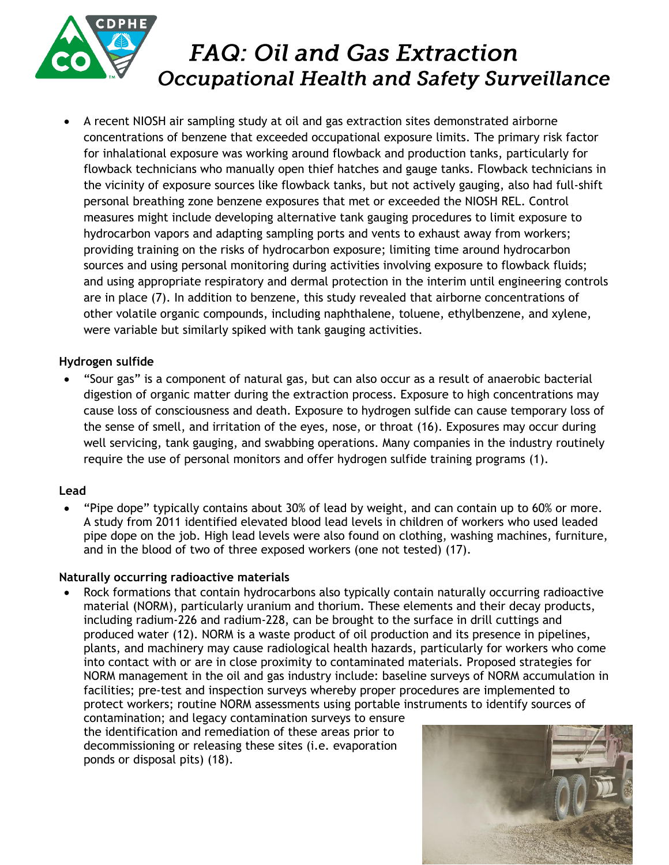

 A recent NIOSH air sampling study at oil and gas extraction sites demonstrated airborne concentrations of benzene that exceeded occupational exposure limits. The primary risk factor for inhalational exposure was working around flowback and production tanks, particularly for flowback technicians who manually open thief hatches and gauge tanks. Flowback technicians in the vicinity of exposure sources like flowback tanks, but not actively gauging, also had full-shift personal breathing zone benzene exposures that met or exceeded the NIOSH REL. Control measures might include developing alternative tank gauging procedures to limit exposure to hydrocarbon vapors and adapting sampling ports and vents to exhaust away from workers; providing training on the risks of hydrocarbon exposure; limiting time around hydrocarbon sources and using personal monitoring during activities involving exposure to flowback fluids; and using appropriate respiratory and dermal protection in the interim until engineering controls are in place (7). In addition to benzene, this study revealed that airborne concentrations of other volatile organic compounds, including naphthalene, toluene, ethylbenzene, and xylene, were variable but similarly spiked with tank gauging activities.

### **Hydrogen sulfide**

 "Sour gas" is a component of natural gas, but can also occur as a result of anaerobic bacterial digestion of organic matter during the extraction process. Exposure to high concentrations may cause loss of consciousness and death. Exposure to hydrogen sulfide can cause temporary loss of the sense of smell, and irritation of the eyes, nose, or throat (16). Exposures may occur during well servicing, tank gauging, and swabbing operations. Many companies in the industry routinely require the use of personal monitors and offer hydrogen sulfide training programs (1).

#### **Lead**

 "Pipe dope" typically contains about 30% of lead by weight, and can contain up to 60% or more. A study from 2011 identified elevated blood lead levels in children of workers who used leaded pipe dope on the job. High lead levels were also found on clothing, washing machines, furniture, and in the blood of two of three exposed workers (one not tested) (17).

#### **Naturally occurring radioactive materials**

 Rock formations that contain hydrocarbons also typically contain naturally occurring radioactive material (NORM), particularly uranium and thorium. These elements and their decay products, including radium-226 and radium-228, can be brought to the surface in drill cuttings and produced water (12). NORM is a waste product of oil production and its presence in pipelines, plants, and machinery may cause radiological health hazards, particularly for workers who come into contact with or are in close proximity to contaminated materials. Proposed strategies for NORM management in the oil and gas industry include: baseline surveys of NORM accumulation in facilities; pre-test and inspection surveys whereby proper procedures are implemented to protect workers; routine NORM assessments using portable instruments to identify sources of

contamination; and legacy contamination surveys to ensure the identification and remediation of these areas prior to decommissioning or releasing these sites (i.e. evaporation ponds or disposal pits) (18).

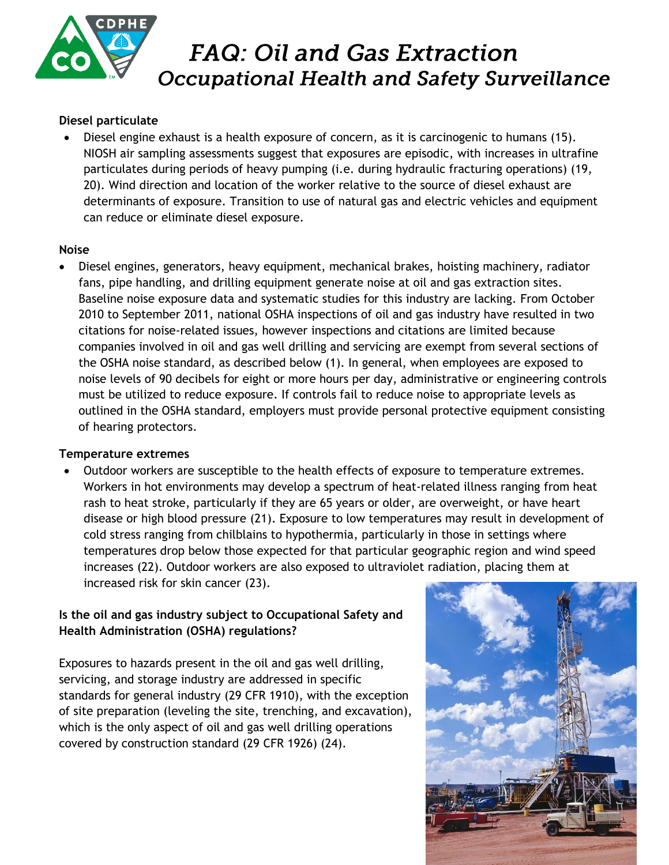

#### **Diesel particulate**

 Diesel engine exhaust is a health exposure of concern, as it is carcinogenic to humans (15). NIOSH air sampling assessments suggest that exposures are episodic, with increases in ultrafine particulates during periods of heavy pumping (i.e. during hydraulic fracturing operations) (19, 20). Wind direction and location of the worker relative to the source of diesel exhaust are determinants of exposure. Transition to use of natural gas and electric vehicles and equipment can reduce or eliminate diesel exposure.

#### **Noise**

 Diesel engines, generators, heavy equipment, mechanical brakes, hoisting machinery, radiator fans, pipe handling, and drilling equipment generate noise at oil and gas extraction sites. Baseline noise exposure data and systematic studies for this industry are lacking. From October 2010 to September 2011, national OSHA inspections of oil and gas industry have resulted in two citations for noise-related issues, however inspections and citations are limited because companies involved in oil and gas well drilling and servicing are exempt from several sections of the OSHA noise standard, as described below (1). In general, when employees are exposed to noise levels of 90 decibels for eight or more hours per day, administrative or engineering controls must be utilized to reduce exposure. If controls fail to reduce noise to appropriate levels as outlined in the OSHA standard, employers must provide personal protective equipment consisting of hearing protectors.

#### **Temperature extremes**

 Outdoor workers are susceptible to the health effects of exposure to temperature extremes. Workers in hot environments may develop a spectrum of heat-related illness ranging from heat rash to heat stroke, particularly if they are 65 years or older, are overweight, or have heart disease or high blood pressure (21). Exposure to low temperatures may result in development of cold stress ranging from chilblains to hypothermia, particularly in those in settings where temperatures drop below those expected for that particular geographic region and wind speed increases (22). Outdoor workers are also exposed to ultraviolet radiation, placing them at increased risk for skin cancer (23).

### **Is the oil and gas industry subject to Occupational Safety and Health Administration (OSHA) regulations?**

Exposures to hazards present in the oil and gas well drilling, servicing, and storage industry are addressed in specific standards for general industry (29 CFR 1910), with the exception of site preparation (leveling the site, trenching, and excavation), which is the only aspect of oil and gas well drilling operations covered by construction standard (29 CFR 1926) (24).

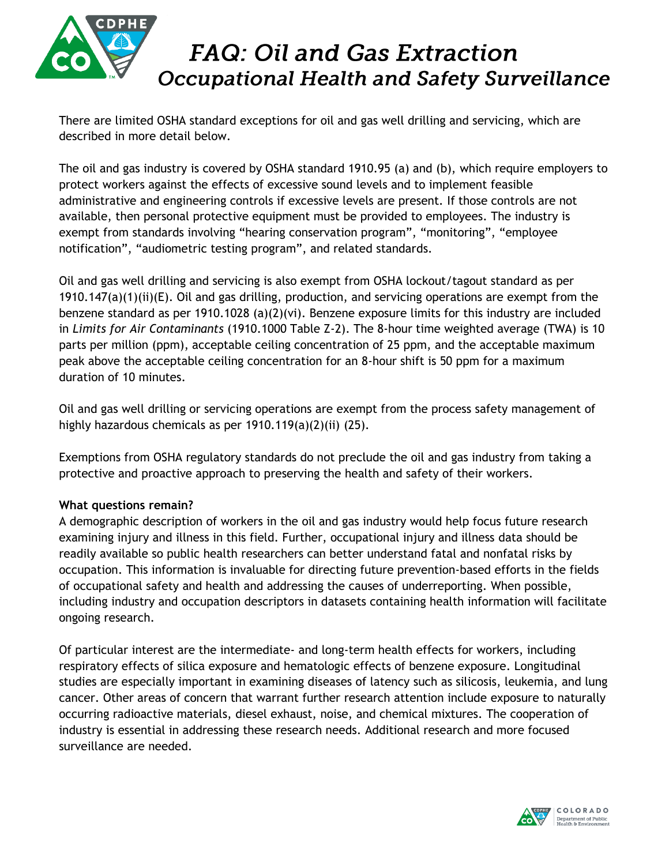

There are limited OSHA standard exceptions for oil and gas well drilling and servicing, which are described in more detail below.

The oil and gas industry is covered by OSHA standard 1910.95 (a) and (b), which require employers to protect workers against the effects of excessive sound levels and to implement feasible administrative and engineering controls if excessive levels are present. If those controls are not available, then personal protective equipment must be provided to employees. The industry is exempt from standards involving "hearing conservation program", "monitoring", "employee notification", "audiometric testing program", and related standards.

Oil and gas well drilling and servicing is also exempt from OSHA lockout/tagout standard as per  $1910.147(a)(1)(ii)(E)$ . Oil and gas drilling, production, and servicing operations are exempt from the benzene standard as per 1910.1028 (a)(2)(vi). Benzene exposure limits for this industry are included in *Limits for Air Contaminants* (1910.1000 Table Z-2). The 8-hour time weighted average (TWA) is 10 parts per million (ppm), acceptable ceiling concentration of 25 ppm, and the acceptable maximum peak above the acceptable ceiling concentration for an 8-hour shift is 50 ppm for a maximum duration of 10 minutes.

Oil and gas well drilling or servicing operations are exempt from the process safety management of highly hazardous chemicals as per 1910.119(a)(2)(ii) (25).

Exemptions from OSHA regulatory standards do not preclude the oil and gas industry from taking a protective and proactive approach to preserving the health and safety of their workers.

### **What questions remain?**

A demographic description of workers in the oil and gas industry would help focus future research examining injury and illness in this field. Further, occupational injury and illness data should be readily available so public health researchers can better understand fatal and nonfatal risks by occupation. This information is invaluable for directing future prevention-based efforts in the fields of occupational safety and health and addressing the causes of underreporting. When possible, including industry and occupation descriptors in datasets containing health information will facilitate ongoing research.

Of particular interest are the intermediate- and long-term health effects for workers, including respiratory effects of silica exposure and hematologic effects of benzene exposure. Longitudinal studies are especially important in examining diseases of latency such as silicosis, leukemia, and lung cancer. Other areas of concern that warrant further research attention include exposure to naturally occurring radioactive materials, diesel exhaust, noise, and chemical mixtures. The cooperation of industry is essential in addressing these research needs. Additional research and more focused surveillance are needed.

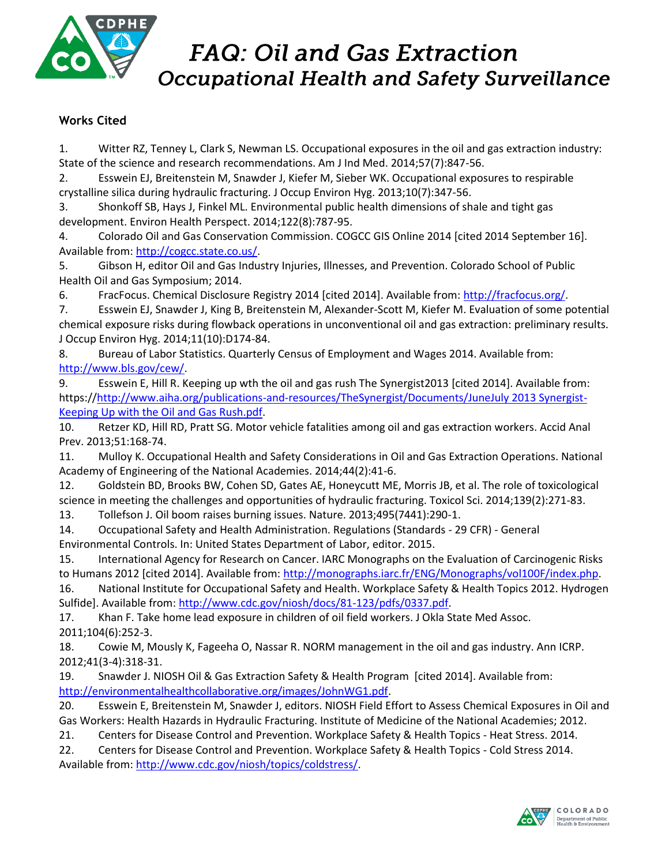

### **Works Cited**

1. Witter RZ, Tenney L, Clark S, Newman LS. Occupational exposures in the oil and gas extraction industry: State of the science and research recommendations. Am J Ind Med. 2014;57(7):847-56.

2. Esswein EJ, Breitenstein M, Snawder J, Kiefer M, Sieber WK. Occupational exposures to respirable crystalline silica during hydraulic fracturing. J Occup Environ Hyg. 2013;10(7):347-56.

3. Shonkoff SB, Hays J, Finkel ML. Environmental public health dimensions of shale and tight gas development. Environ Health Perspect. 2014;122(8):787-95.

4. Colorado Oil and Gas Conservation Commission. COGCC GIS Online 2014 [cited 2014 September 16]. Available from: [http://cogcc.state.co.us/.](http://cogcc.state.co.us/)

5. Gibson H, editor Oil and Gas Industry Injuries, Illnesses, and Prevention. Colorado School of Public Health Oil and Gas Symposium; 2014.

6. FracFocus. Chemical Disclosure Registry 2014 [cited 2014]. Available from: [http://fracfocus.org/.](http://fracfocus.org/)

7. Esswein EJ, Snawder J, King B, Breitenstein M, Alexander-Scott M, Kiefer M. Evaluation of some potential chemical exposure risks during flowback operations in unconventional oil and gas extraction: preliminary results. J Occup Environ Hyg. 2014;11(10):D174-84.

8. Bureau of Labor Statistics. Quarterly Census of Employment and Wages 2014. Available from: [http://www.bls.gov/cew/.](http://www.bls.gov/cew/)

9. Esswein E, Hill R. Keeping up wth the oil and gas rush The Synergist2013 [cited 2014]. Available from: https:/[/http://www.aiha.org/publications-and-resources/TheSynergist/Documents/JuneJuly 2013 Synergist-](http://www.aiha.org/publications-and-resources/TheSynergist/Documents/JuneJuly%202013%20Synergist-Keeping%20Up%20with%20the%20Oil%20and%20Gas%20Rush.pdf)[Keeping Up with the Oil and Gas Rush.pdf.](http://www.aiha.org/publications-and-resources/TheSynergist/Documents/JuneJuly%202013%20Synergist-Keeping%20Up%20with%20the%20Oil%20and%20Gas%20Rush.pdf)

10. Retzer KD, Hill RD, Pratt SG. Motor vehicle fatalities among oil and gas extraction workers. Accid Anal Prev. 2013;51:168-74.

11. Mulloy K. Occupational Health and Safety Considerations in Oil and Gas Extraction Operations. National Academy of Engineering of the National Academies. 2014;44(2):41-6.

12. Goldstein BD, Brooks BW, Cohen SD, Gates AE, Honeycutt ME, Morris JB, et al. The role of toxicological science in meeting the challenges and opportunities of hydraulic fracturing. Toxicol Sci. 2014;139(2):271-83.

13. Tollefson J. Oil boom raises burning issues. Nature. 2013;495(7441):290-1.

14. Occupational Safety and Health Administration. Regulations (Standards - 29 CFR) - General Environmental Controls. In: United States Department of Labor, editor. 2015.

15. International Agency for Research on Cancer. IARC Monographs on the Evaluation of Carcinogenic Risks to Humans 2012 [cited 2014]. Available from: [http://monographs.iarc.fr/ENG/Monographs/vol100F/index.php.](http://monographs.iarc.fr/ENG/Monographs/vol100F/index.php)

16. National Institute for Occupational Safety and Health. Workplace Safety & Health Topics 2012. Hydrogen Sulfide]. Available from[: http://www.cdc.gov/niosh/docs/81-123/pdfs/0337.pdf.](http://www.cdc.gov/niosh/docs/81-123/pdfs/0337.pdf)

17. Khan F. Take home lead exposure in children of oil field workers. J Okla State Med Assoc. 2011;104(6):252-3.

18. Cowie M, Mously K, Fageeha O, Nassar R. NORM management in the oil and gas industry. Ann ICRP. 2012;41(3-4):318-31.

19. Snawder J. NIOSH Oil & Gas Extraction Safety & Health Program [cited 2014]. Available from: [http://environmentalhealthcollaborative.org/images/JohnWG1.pdf.](http://environmentalhealthcollaborative.org/images/JohnWG1.pdf)

20. Esswein E, Breitenstein M, Snawder J, editors. NIOSH Field Effort to Assess Chemical Exposures in Oil and Gas Workers: Health Hazards in Hydraulic Fracturing. Institute of Medicine of the National Academies; 2012.

21. Centers for Disease Control and Prevention. Workplace Safety & Health Topics - Heat Stress. 2014.

22. Centers for Disease Control and Prevention. Workplace Safety & Health Topics - Cold Stress 2014. Available from: [http://www.cdc.gov/niosh/topics/coldstress/.](http://www.cdc.gov/niosh/topics/coldstress/)